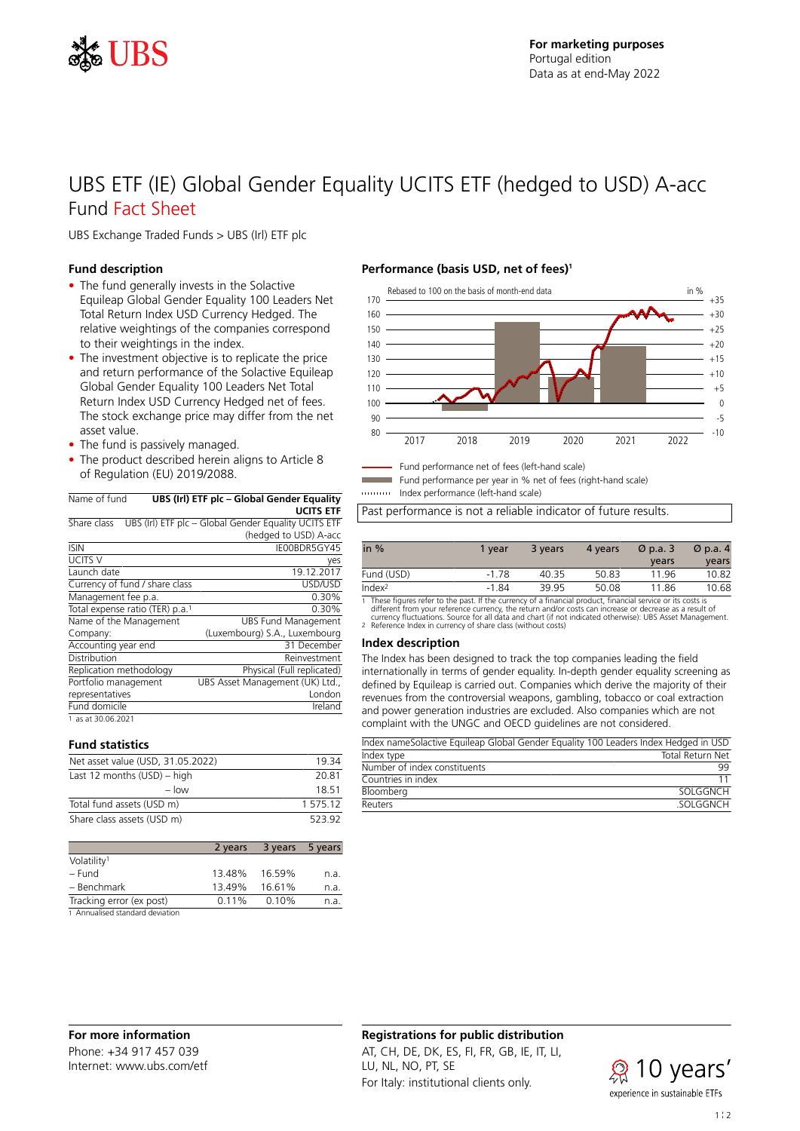

# UBS ETF (IE) Global Gender Equality UCITS ETF (hedged to USD) A-acc Fund Fact Sheet

UBS Exchange Traded Funds > UBS (Irl) ETF plc

### **Fund description**

- The fund generally invests in the Solactive Equileap Global Gender Equality 100 Leaders Net Total Return Index USD Currency Hedged. The relative weightings of the companies correspond to their weightings in the index.
- The investment objective is to replicate the price and return performance of the Solactive Equileap Global Gender Equality 100 Leaders Net Total Return Index USD Currency Hedged net of fees. The stock exchange price may differ from the net asset value.
- The fund is passively managed.
- The product described herein aligns to Article 8 of Regulation (EU) 2019/2088.

| Name of fund<br>UBS (Irl) ETF plc - Global Gender Equality |                                                      |  |  |
|------------------------------------------------------------|------------------------------------------------------|--|--|
|                                                            | <b>UCITS ETF</b>                                     |  |  |
| Share class                                                | UBS (Irl) ETF plc - Global Gender Equality UCITS ETF |  |  |
|                                                            | (hedged to USD) A-acc                                |  |  |
| <b>ISIN</b>                                                | IE00BDR5GY45                                         |  |  |
| <b>UCITS V</b>                                             | yes                                                  |  |  |
| Launch date                                                | 19.12.2017                                           |  |  |
| Currency of fund / share class                             | <b>USD/USD</b>                                       |  |  |
| Management fee p.a.                                        | 0.30%                                                |  |  |
| Total expense ratio (TER) p.a. <sup>1</sup>                | 0.30%                                                |  |  |
| Name of the Management                                     | <b>UBS Fund Management</b>                           |  |  |
| Company:                                                   | (Luxembourg) S.A., Luxembourg                        |  |  |
| Accounting year end                                        | 31 December                                          |  |  |
| Distribution                                               | Reinvestment                                         |  |  |
| Replication methodology                                    | Physical (Full replicated)                           |  |  |
| Portfolio management                                       | UBS Asset Management (UK) Ltd.,                      |  |  |
| representatives                                            | London                                               |  |  |
| Fund domicile                                              | Ireland                                              |  |  |
| 1 as at 30.06.2021                                         |                                                      |  |  |

1 as at 30.06.2021

# **Fund statistics**

| Net asset value (USD, 31.05.2022) | 1934     |
|-----------------------------------|----------|
| Last 12 months $(USD)$ – high     | 20.81    |
| $-$ low                           | 18 51    |
| Total fund assets (USD m)         | 1 575.12 |
| Share class assets (USD m)        | 523.92   |

|                                 | 2 years  | 3 years 5 years |      |
|---------------------------------|----------|-----------------|------|
| Volatility <sup>1</sup>         |          |                 |      |
| – Fund                          | 13.48%   | 16.59%          | n.a. |
| - Benchmark                     | 13.49%   | 16.61%          | n.a. |
| Tracking error (ex post)        | $0.11\%$ | 0.10%           | n.a. |
| 1 Annualised standard deviation |          |                 |      |

### **Performance (basis USD, net of fees)<sup>1</sup>**



Fund performance net of fees (left-hand scale)

Fund performance per year in % net of fees (right-hand scale)

Index performance (left-hand scale)

Past performance is not a reliable indicator of future results.

| in $%$             | 1 vear  | 3 years | 4 years | $\varnothing$ p.a. 3 | $\varnothing$ p.a. 4 |
|--------------------|---------|---------|---------|----------------------|----------------------|
|                    |         |         |         | years                | years                |
| Fund (USD)         | $-178$  | 40.35   | 50.83   | 1196                 | 10.82                |
| Index <sup>2</sup> | $-1.84$ | 39 95   | 50.08   | 11.86                | 10.68                |

1 These figures refer to the past. If the currency of a financial product, financial service or its costs is<br>different from your reference currency, the return and/or costs can increase or decrease as a result of<br>currency

#### **Index description**

The Index has been designed to track the top companies leading the field internationally in terms of gender equality. In-depth gender equality screening as defined by Equileap is carried out. Companies which derive the majority of their revenues from the controversial weapons, gambling, tobacco or coal extraction and power generation industries are excluded. Also companies which are not complaint with the UNGC and OECD guidelines are not considered.

| Index nameSolactive Equileap Global Gender Equality 100 Leaders Index Hedged in USD |                  |
|-------------------------------------------------------------------------------------|------------------|
| Index type                                                                          | Total Return Net |
| Number of index constituents                                                        | qq               |
| Countries in index                                                                  |                  |
| Bloomberg                                                                           | SOI GGNCH        |
| Reuters                                                                             | SOI GGNCH        |

### **For more information** Phone: +34 917 457 039 Internet: www.ubs.com/etf

### **Registrations for public distribution**

AT, CH, DE, DK, ES, FI, FR, GB, IE, IT, LI, LU, NL, NO, PT, SE For Italy: institutional clients only.